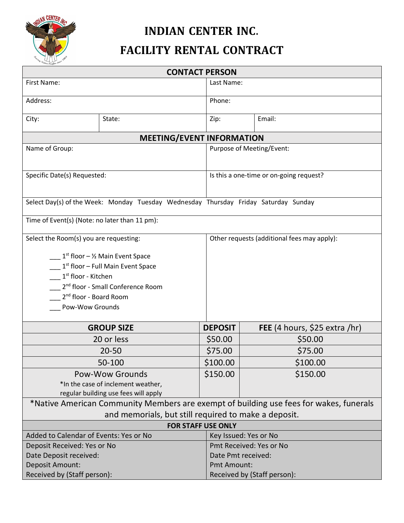

## **INDIAN CENTER INC.**

# **FACILITY RENTAL CONTRACT**

| <b>CONTACT PERSON</b>                                                                  |                   |                |                                             |                               |  |  |
|----------------------------------------------------------------------------------------|-------------------|----------------|---------------------------------------------|-------------------------------|--|--|
| First Name:                                                                            |                   |                | Last Name:                                  |                               |  |  |
| Address:                                                                               |                   | Phone:         |                                             |                               |  |  |
| City:                                                                                  | State:            | Zip:           |                                             | Email:                        |  |  |
| <b>MEETING/EVENT INFORMATION</b>                                                       |                   |                |                                             |                               |  |  |
| Name of Group:                                                                         |                   |                | Purpose of Meeting/Event:                   |                               |  |  |
| Specific Date(s) Requested:                                                            |                   |                | Is this a one-time or on-going request?     |                               |  |  |
| Select Day(s) of the Week: Monday Tuesday Wednesday Thursday Friday Saturday Sunday    |                   |                |                                             |                               |  |  |
| Time of Event(s) (Note: no later than 11 pm):                                          |                   |                |                                             |                               |  |  |
| Select the Room(s) you are requesting:                                                 |                   |                | Other requests (additional fees may apply): |                               |  |  |
| $1st$ floor – ½ Main Event Space                                                       |                   |                |                                             |                               |  |  |
| $1st$ floor – Full Main Event Space                                                    |                   |                |                                             |                               |  |  |
| 1 <sup>st</sup> floor - Kitchen                                                        |                   |                |                                             |                               |  |  |
| 2 <sup>nd</sup> floor - Small Conference Room                                          |                   |                |                                             |                               |  |  |
| 2 <sup>nd</sup> floor - Board Room                                                     |                   |                |                                             |                               |  |  |
| Pow-Wow Grounds                                                                        |                   |                |                                             |                               |  |  |
|                                                                                        |                   |                |                                             |                               |  |  |
|                                                                                        | <b>GROUP SIZE</b> | <b>DEPOSIT</b> |                                             | FEE (4 hours, \$25 extra /hr) |  |  |
|                                                                                        | 20 or less        | \$50.00        |                                             | \$50.00                       |  |  |
|                                                                                        | $20 - 50$         | \$75.00        |                                             | \$75.00                       |  |  |
| 50-100                                                                                 |                   | \$100.00       |                                             | \$100.00                      |  |  |
| <b>Pow-Wow Grounds</b>                                                                 |                   | \$150.00       |                                             | \$150.00                      |  |  |
| *In the case of inclement weather,                                                     |                   |                |                                             |                               |  |  |
| regular building use fees will apply                                                   |                   |                |                                             |                               |  |  |
| *Native American Community Members are exempt of building use fees for wakes, funerals |                   |                |                                             |                               |  |  |
| and memorials, but still required to make a deposit.                                   |                   |                |                                             |                               |  |  |
| <b>FOR STAFF USE ONLY</b>                                                              |                   |                |                                             |                               |  |  |
| Added to Calendar of Events: Yes or No                                                 |                   |                | Key Issued: Yes or No                       |                               |  |  |
| Deposit Received: Yes or No                                                            |                   |                | Pmt Received: Yes or No                     |                               |  |  |
| Date Deposit received:                                                                 |                   |                | Date Pmt received:                          |                               |  |  |
| Deposit Amount:                                                                        |                   |                | Pmt Amount:                                 |                               |  |  |
| Received by (Staff person):                                                            |                   |                | Received by (Staff person):                 |                               |  |  |